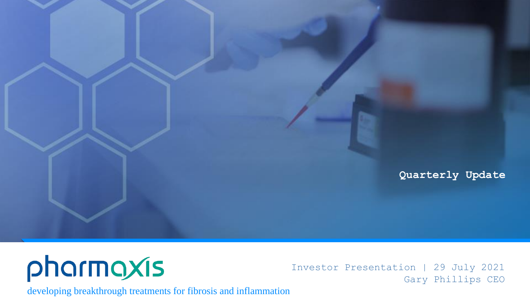

# pharmaxis

Investor Presentation | 29 July 2021 Gary Phillips CEO

developing breakthrough treatments for fibrosis and inflammation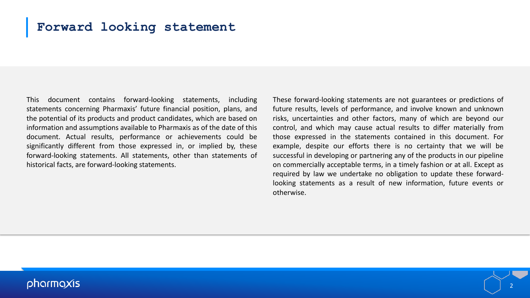# **Forward looking statement**

This document contains forward-looking statements, including statements concerning Pharmaxis' future financial position, plans, and the potential of its products and product candidates, which are based on information and assumptions available to Pharmaxis as of the date of this document. Actual results, performance or achievements could be significantly different from those expressed in, or implied by, these forward-looking statements. All statements, other than statements of historical facts, are forward-looking statements.

These forward-looking statements are not guarantees or predictions of future results, levels of performance, and involve known and unknown risks, uncertainties and other factors, many of which are beyond our control, and which may cause actual results to differ materially from those expressed in the statements contained in this document. For example, despite our efforts there is no certainty that we will be successful in developing or partnering any of the products in our pipeline on commercially acceptable terms, in a timely fashion or at all. Except as required by law we undertake no obligation to update these forwardlooking statements as a result of new information, future events or otherwise.

## pharmaxis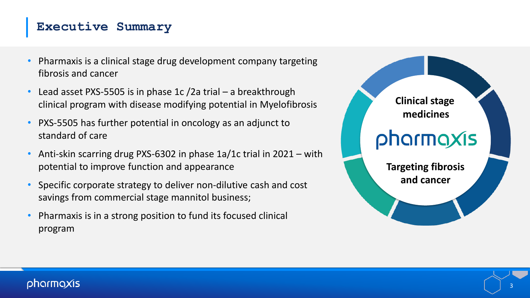# **Executive Summary**

- Pharmaxis is a clinical stage drug development company targeting fibrosis and cancer
- Lead asset PXS-5505 is in phase 1c /2a trial a breakthrough clinical program with disease modifying potential in Myelofibrosis
- PXS-5505 has further potential in oncology as an adjunct to standard of care
- Anti-skin scarring drug PXS-6302 in phase 1a/1c trial in 2021 with potential to improve function and appearance
- Specific corporate strategy to deliver non-dilutive cash and cost savings from commercial stage mannitol business;
- Pharmaxis is in a strong position to fund its focused clinical program

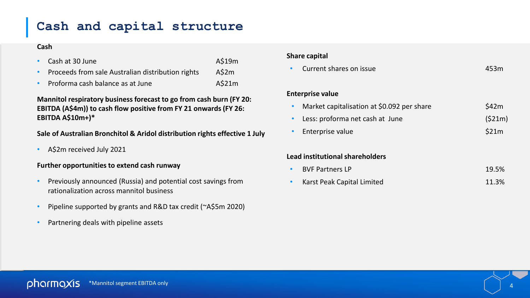# **Cash and capital structure**

### **Cash**

- Cash at 30 June A\$19m
- Proceeds from sale Australian distribution rights A\$2m
- Proforma cash balance as at June A\$21m

**Mannitol respiratory business forecast to go from cash burn (FY 20: EBITDA (A\$4m)) to cash flow positive from FY 21 onwards (FY 26: EBITDA A\$10m+)\*** 

### **Sale of Australian Bronchitol & Aridol distribution rights effective 1 July**

• A\$2m received July 2021

#### **Further opportunities to extend cash runway**

- Previously announced (Russia) and potential cost savings from rationalization across mannitol business
- Pipeline supported by grants and R&D tax credit (~A\$5m 2020)
- Partnering deals with pipeline assets

### **Share capital**

• Current shares on issue 453m

#### **Enterprise value**

| Market capitalisation at \$0.092 per share | \$42m  |
|--------------------------------------------|--------|
| Less: proforma net cash at June            | (521m) |

Enterprise value **Enterprise value** 

#### **Lead institutional shareholders**

| • BVF Partners LP            | 19.5% |
|------------------------------|-------|
| • Karst Peak Capital Limited | 11.3% |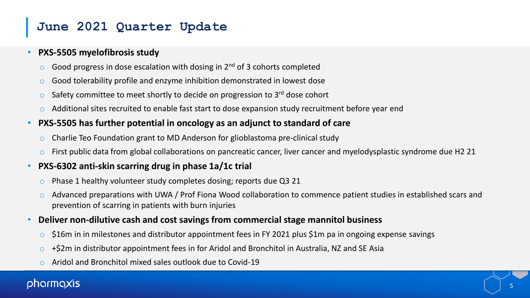# **June 2021 Quarter Update**

## • **PXS-5505 myelofibrosis study**

- $\circ$  Good progress in dose escalation with dosing in 2<sup>nd</sup> of 3 cohorts completed
- o Good tolerability profile and enzyme inhibition demonstrated in lowest dose
- $\circ$  Safety committee to meet shortly to decide on progression to 3<sup>rd</sup> dose cohort
- Additional sites recruited to enable fast start to dose expansion study recruitment before year end
- **PXS-5505 has further potential in oncology as an adjunct to standard of care**
	- o Charlie Teo Foundation grant to MD Anderson for glioblastoma pre-clinical study
	- $\circ$  First public data from global collaborations on pancreatic cancer, liver cancer and myelodysplastic syndrome due H2 21

## • **PXS-6302 anti-skin scarring drug in phase 1a/1c trial**

- o Phase 1 healthy volunteer study completes dosing; reports due Q3 21
- o Advanced preparations with UWA / Prof Fiona Wood collaboration to commence patient studies in established scars and prevention of scarring in patients with burn injuries
- **Deliver non-dilutive cash and cost savings from commercial stage mannitol business**
	- $\circ$  \$16m in in milestones and distributor appointment fees in FY 2021 plus \$1m pa in ongoing expense savings
	- $\circ$  +\$2m in distributor appointment fees in for Aridol and Bronchitol in Australia, NZ and SE Asia
	- Aridol and Bronchitol mixed sales outlook due to Covid-19

# oharmaxis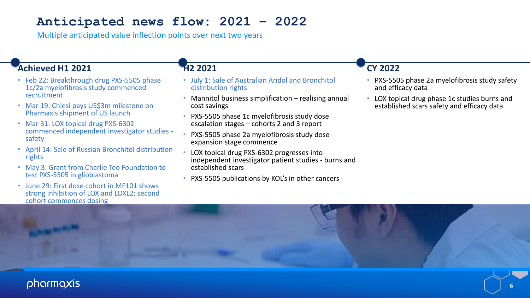# **Anticipated news flow: 2021 – 2022**

Multiple anticipated value inflection points over next two years

## **Achieved H1 2021**

- Feb 22: Breakthrough drug PXS-5505 phase 1c/2a myelofibrosis study commenced recruitment
- Mar 19: Chiesi pays US\$3m milestone on Pharmaxis shipment of US launch
- Mar 31: LOX topical drug PXS-6302 commenced independent investigator studies safety
- April 14: Sale of Russian Bronchitol distribution rights
- May 3: Grant from Charlie Teo Foundation to test PXS-5505 in glioblastoma
- June 29: First dose cohort in MF101 shows strong inhibition of LOX and LOXL2; second cohort commences dosing

## **H2 2021**

- July 1: Sale of Australian Aridol and Bronchitol distribution rights
- Mannitol business simplification realising annual cost savings
- PXS-5505 phase 1c myelofibrosis study dose escalation stages – cohorts 2 and 3 report
- PXS-5505 phase 2a myelofibrosis study dose expansion stage commence
- LOX topical drug PXS-6302 progresses into independent investigator patient studies - burns and established scars
- PXS-5505 publications by KOL's in other cancers

## **CY 2022**

- PXS-5505 phase 2a myelofibrosis study safety and efficacy data
- LOX topical drug phase 1c studies burns and established scars safety and efficacy data

# pharmaxis